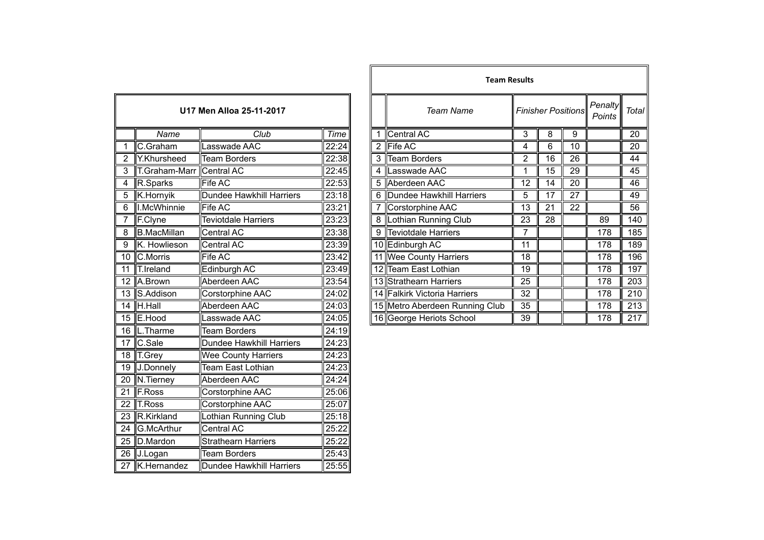| U17 Men Alloa 25-11-2017 |                    |                                 |       |  |  |  |
|--------------------------|--------------------|---------------------------------|-------|--|--|--|
|                          | Name               | Club                            | Time  |  |  |  |
| 1                        | C.Graham           | Lasswade AAC                    | 22:24 |  |  |  |
| $\overline{2}$           | Y.Khursheed        | <b>Team Borders</b>             | 22:38 |  |  |  |
| 3                        | T.Graham-Marr      | Central AC                      | 22:45 |  |  |  |
| $\overline{4}$           | R.Sparks           | <b>Fife AC</b>                  | 22:53 |  |  |  |
| 5                        | K.Hornyik          | <b>Dundee Hawkhill Harriers</b> | 23:18 |  |  |  |
| 6                        | I.McWhinnie        | Fife AC                         | 23:21 |  |  |  |
| 7                        | F.Clyne            | <b>Teviotdale Harriers</b>      | 23:23 |  |  |  |
| 8                        | <b>B.MacMillan</b> | Central AC                      | 23:38 |  |  |  |
| $\overline{9}$           | K. Howlieson       | <b>Central AC</b>               | 23:39 |  |  |  |
| 10                       | C.Morris           | Fife AC                         | 23:42 |  |  |  |
| $\overline{11}$          | T.Ireland          | Edinburgh AC                    | 23:49 |  |  |  |
| 12                       | A.Brown            | Aberdeen AAC                    | 23:54 |  |  |  |
| 13                       | S.Addison          | Corstorphine AAC                | 24:02 |  |  |  |
| $\overline{14}$          | H.Hall             | Aberdeen AAC                    | 24:03 |  |  |  |
| 15                       | E.Hood             | Lasswade AAC                    | 24:05 |  |  |  |
| $\overline{16}$          | L.Tharme           | <b>Team Borders</b>             | 24:19 |  |  |  |
| 17                       | C.Sale             | <b>Dundee Hawkhill Harriers</b> | 24:23 |  |  |  |
| 18                       | T.Grey             | <b>Wee County Harriers</b>      | 24:23 |  |  |  |
| 19                       | J.Donnely          | <b>Team East Lothian</b>        | 24:23 |  |  |  |
| $\overline{20}$          | N.Tierney          | Aberdeen AAC                    | 24:24 |  |  |  |
| $\overline{21}$          | <b>F.Ross</b>      | Corstorphine AAC                | 25:06 |  |  |  |
| 22                       | T.Ross             | Corstorphine AAC                | 25:07 |  |  |  |
| 23                       | R.Kirkland         | Lothian Running Club            | 25:18 |  |  |  |
| 24                       | G.McArthur         | Central AC                      | 25:22 |  |  |  |
| 25                       | D.Mardon           | <b>Strathearn Harriers</b>      | 25:22 |  |  |  |
| 26                       | J.Logan            | <b>Team Borders</b>             | 25:43 |  |  |  |
| 27                       | K.Hernandez        | <b>Dundee Hawkhill Harriers</b> | 25:55 |  |  |  |

|                |                    |                            |       |                | <b>Team Results</b>            |    |                           |    |                   |              |
|----------------|--------------------|----------------------------|-------|----------------|--------------------------------|----|---------------------------|----|-------------------|--------------|
|                |                    | U17 Men Alloa 25-11-2017   |       |                | <b>Team Name</b>               |    | <b>Finisher Positions</b> |    | Penalty<br>Points | <b>Total</b> |
|                | Name               | Club                       | Time  |                | Central AC                     | 3  | 8                         | 9  |                   | 20           |
|                | C.Graham           | Lasswade AAC               | 22:24 | $\overline{2}$ | Fife AC                        | 4  | 6                         | 10 |                   | 20           |
| $\overline{2}$ | Y.Khursheed        | <b>Team Borders</b>        | 22:38 | 3              | Team Borders                   | 2  | 16                        | 26 |                   | 44           |
|                | T.Graham-Marr      | Central AC                 | 22:45 | 4              | Lasswade AAC                   |    | 15                        | 29 |                   | 45           |
| 4              | R.Sparks           | Fife AC                    | 22:53 |                | 5 Aberdeen AAC                 | 12 | 14                        | 20 |                   | 46           |
| $\overline{5}$ | K.Hornyik          | Dundee Hawkhill Harriers   | 23:18 |                | 6 Dundee Hawkhill Harriers     | 5  | 17                        | 27 |                   | 49           |
| 6              | I.McWhinnie        | Fife AC                    | 23:21 |                | Corstorphine AAC               | 13 | 21                        | 22 |                   | 56           |
|                | F.Clyne            | <b>Teviotdale Harriers</b> | 23:23 |                | 8  Lothian Running Club        | 23 | 28                        |    | 89                | 140          |
| $\overline{8}$ | <b>B.MacMillan</b> | Central AC                 | 23:38 | 9              | Teviotdale Harriers            | 7  |                           |    | 178               | 185          |
| 9              | K. Howlieson       | Central AC                 | 23:39 |                | 10 Edinburgh AC                | 11 |                           |    | 178               | 189          |
|                | 10 C.Morris        | Fife AC                    | 23:42 |                | 11 Wee County Harriers         | 18 |                           |    | 178               | 196          |
|                | 11 T.Ireland       | Edinburgh AC               | 23:49 |                | 12 Team East Lothian           | 19 |                           |    | 178               | 197          |
|                | 12 A.Brown         | Aberdeen AAC               | 23:54 |                | 13 Strathearn Harriers         | 25 |                           |    | 178               | 203          |
|                | 13 S.Addison       | Corstorphine AAC           | 24:02 |                | 14 Falkirk Victoria Harriers   | 32 |                           |    | 178               | 210          |
|                | $14$ H. Hall       | Aberdeen AAC               | 24:03 |                | 15 Metro Aberdeen Running Club | 35 |                           |    | 178               | 213          |
|                | 15 E.Hood          | Lasswade AAC               | 24:05 |                | 16 George Heriots School       | 39 |                           |    | 178               | 217          |
|                |                    |                            |       |                |                                |    |                           |    |                   |              |